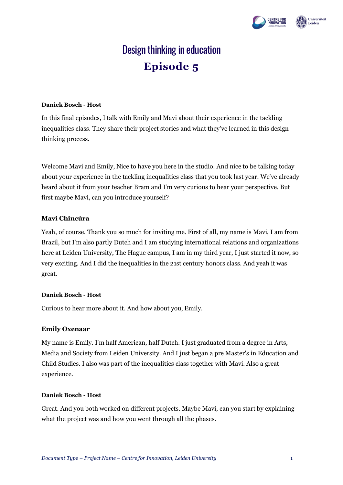



# Design thinking in education **Episode 5**

#### **Daniek Bosch - Host**

In this final episodes, I talk with Emily and Mavi about their experience in the tackling inequalities class. They share their project stories and what they've learned in this design thinking process.

Welcome Mavi and Emily, Nice to have you here in the studio. And nice to be talking today about your experience in the tackling inequalities class that you took last year. We've already heard about it from your teacher Bram and I'm very curious to hear your perspective. But first maybe Mavi, can you introduce yourself?

## **Mavi Chincúra**

Yeah, of course. Thank you so much for inviting me. First of all, my name is Mavi, I am from Brazil, but I'm also partly Dutch and I am studying international relations and organizations here at Leiden University, The Hague campus, I am in my third year, I just started it now, so very exciting. And I did the inequalities in the 21st century honors class. And yeah it was great.

### **Daniek Bosch - Host**

Curious to hear more about it. And how about you, Emily.

### **Emily Oxenaar**

My name is Emily. I'm half American, half Dutch. I just graduated from a degree in Arts, Media and Society from Leiden University. And I just began a pre Master's in Education and Child Studies. I also was part of the inequalities class together with Mavi. Also a great experience.

### **Daniek Bosch - Host**

Great. And you both worked on different projects. Maybe Mavi, can you start by explaining what the project was and how you went through all the phases.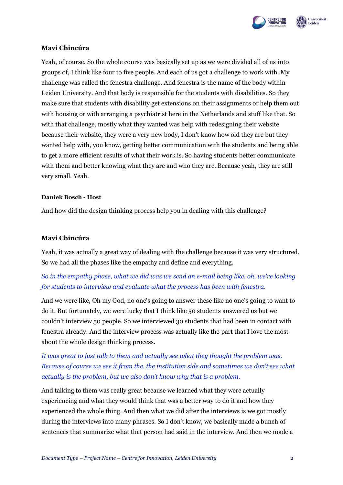



### **Mavi Chincúra**

Yeah, of course. So the whole course was basically set up as we were divided all of us into groups of, I think like four to five people. And each of us got a challenge to work with. My challenge was called the fenestra challenge. And fenestra is the name of the body within Leiden University. And that body is responsible for the students with disabilities. So they make sure that students with disability get extensions on their assignments or help them out with housing or with arranging a psychiatrist here in the Netherlands and stuff like that. So with that challenge, mostly what they wanted was help with redesigning their website because their website, they were a very new body, I don't know how old they are but they wanted help with, you know, getting better communication with the students and being able to get a more efficient results of what their work is. So having students better communicate with them and better knowing what they are and who they are. Because yeah, they are still very small. Yeah.

#### **Daniek Bosch - Host**

And how did the design thinking process help you in dealing with this challenge?

#### **Mavi Chincúra**

Yeah, it was actually a great way of dealing with the challenge because it was very structured. So we had all the phases like the empathy and define and everything.

# *So in the empathy phase, what we did was we send an e-mail being like, oh, we're looking for students to interview and evaluate what the process has been with fenestra.*

And we were like, Oh my God, no one's going to answer these like no one's going to want to do it. But fortunately, we were lucky that I think like 50 students answered us but we couldn't interview 50 people. So we interviewed 30 students that had been in contact with fenestra already. And the interview process was actually like the part that I love the most about the whole design thinking process.

*It was great to just talk to them and actually see what they thought the problem was. Because of course we see it from the, the institution side and sometimes we don't see what actually is the problem, but we also don't know why that is a problem.* 

And talking to them was really great because we learned what they were actually experiencing and what they would think that was a better way to do it and how they experienced the whole thing. And then what we did after the interviews is we got mostly during the interviews into many phrases. So I don't know, we basically made a bunch of sentences that summarize what that person had said in the interview. And then we made a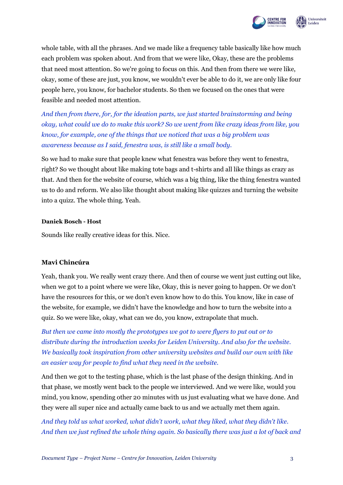

whole table, with all the phrases. And we made like a frequency table basically like how much each problem was spoken about. And from that we were like, Okay, these are the problems that need most attention. So we're going to focus on this. And then from there we were like, okay, some of these are just, you know, we wouldn't ever be able to do it, we are only like four people here, you know, for bachelor students. So then we focused on the ones that were feasible and needed most attention.

*And then from there, for, for the ideation parts, we just started brainstorming and being okay, what could we do to make this work? So we went from like crazy ideas from like, you know, for example, one of the things that we noticed that was a big problem was awareness because as I said, fenestra was, is still like a small body.* 

So we had to make sure that people knew what fenestra was before they went to fenestra, right? So we thought about like making tote bags and t-shirts and all like things as crazy as that. And then for the website of course, which was a big thing, like the thing fenestra wanted us to do and reform. We also like thought about making like quizzes and turning the website into a quizz. The whole thing. Yeah.

#### **Daniek Bosch - Host**

Sounds like really creative ideas for this. Nice.

### **Mavi Chincúra**

Yeah, thank you. We really went crazy there. And then of course we went just cutting out like, when we got to a point where we were like, Okay, this is never going to happen. Or we don't have the resources for this, or we don't even know how to do this. You know, like in case of the website, for example, we didn't have the knowledge and how to turn the website into a quiz. So we were like, okay, what can we do, you know, extrapolate that much.

*But then we came into mostly the prototypes we got to were flyers to put out or to distribute during the introduction weeks for Leiden University. And also for the website. We basically took inspiration from other university websites and build our own with like an easier way for people to find what they need in the website.* 

And then we got to the testing phase, which is the last phase of the design thinking. And in that phase, we mostly went back to the people we interviewed. And we were like, would you mind, you know, spending other 20 minutes with us just evaluating what we have done. And they were all super nice and actually came back to us and we actually met them again.

*And they told us what worked, what didn't work, what they liked, what they didn't like. And then we just refined the whole thing again. So basically there was just a lot of back and*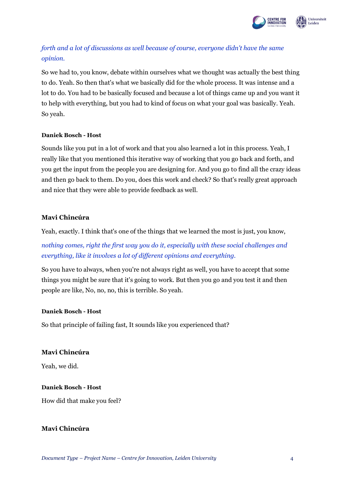

# *forth and a lot of discussions as well because of course, everyone didn't have the same opinion.*

So we had to, you know, debate within ourselves what we thought was actually the best thing to do. Yeah. So then that's what we basically did for the whole process. It was intense and a lot to do. You had to be basically focused and because a lot of things came up and you want it to help with everything, but you had to kind of focus on what your goal was basically. Yeah. So yeah.

### **Daniek Bosch - Host**

Sounds like you put in a lot of work and that you also learned a lot in this process. Yeah, I really like that you mentioned this iterative way of working that you go back and forth, and you get the input from the people you are designing for. And you go to find all the crazy ideas and then go back to them. Do you, does this work and check? So that's really great approach and nice that they were able to provide feedback as well.

# **Mavi Chincúra**

Yeah, exactly. I think that's one of the things that we learned the most is just, you know,

*nothing comes, right the first way you do it, especially with these social challenges and everything, like it involves a lot of different opinions and everything.* 

So you have to always, when you're not always right as well, you have to accept that some things you might be sure that it's going to work. But then you go and you test it and then people are like, No, no, no, this is terrible. So yeah.

# **Daniek Bosch - Host**

So that principle of failing fast, It sounds like you experienced that?

# **Mavi Chincúra**

Yeah, we did.

# **Daniek Bosch - Host**

How did that make you feel?

# **Mavi Chincúra**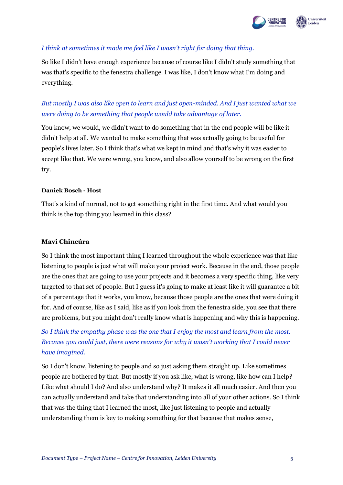

# *I think at sometimes it made me feel like I wasn't right for doing that thing.*

So like I didn't have enough experience because of course like I didn't study something that was that's specific to the fenestra challenge. I was like, I don't know what I'm doing and everything.

# *But mostly I was also like open to learn and just open-minded. And I just wanted what we were doing to be something that people would take advantage of later.*

You know, we would, we didn't want to do something that in the end people will be like it didn't help at all. We wanted to make something that was actually going to be useful for people's lives later. So I think that's what we kept in mind and that's why it was easier to accept like that. We were wrong, you know, and also allow yourself to be wrong on the first try.

#### **Daniek Bosch - Host**

That's a kind of normal, not to get something right in the first time. And what would you think is the top thing you learned in this class?

## **Mavi Chincúra**

So I think the most important thing I learned throughout the whole experience was that like listening to people is just what will make your project work. Because in the end, those people are the ones that are going to use your projects and it becomes a very specific thing, like very targeted to that set of people. But I guess it's going to make at least like it will guarantee a bit of a percentage that it works, you know, because those people are the ones that were doing it for. And of course, like as I said, like as if you look from the fenestra side, you see that there are problems, but you might don't really know what is happening and why this is happening.

*So I think the empathy phase was the one that I enjoy the most and learn from the most. Because you could just, there were reasons for why it wasn't working that I could never have imagined.* 

So I don't know, listening to people and so just asking them straight up. Like sometimes people are bothered by that. But mostly if you ask like, what is wrong, like how can I help? Like what should I do? And also understand why? It makes it all much easier. And then you can actually understand and take that understanding into all of your other actions. So I think that was the thing that I learned the most, like just listening to people and actually understanding them is key to making something for that because that makes sense,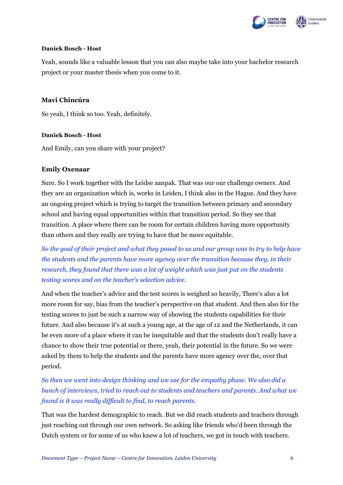

#### **Daniek Bosch - Host**

Yeah, sounds like a valuable lesson that you can also maybe take into your bachelor research project or your master thesis when you come to it.

## **Mavi Chincúra**

So yeah, I think so too. Yeah, definitely.

### **Daniek Bosch - Host**

And Emily, can you share with your project?

## **Emily Oxenaar**

Sure. So I work together with the Leidse aanpak. That was our our challenge owners. And they are an organization which is, works in Leiden, I think also in the Hague. And they have an ongoing project which is trying to target the transition between primary and secondary school and having equal opportunities within that transition period. So they see that transition. A place where there can be room for certain children having more opportunity than others and they really are trying to have that be more equitable.

*So the goal of their project and what they posed to us and our group was to try to help have the students and the parents have more agency over the transition because they, in their research, they found that there was a lot of weight which was just put on the students testing scores and on the teacher's selection advice.*

And when the teacher's advice and the test scores is weighed so heavily, There's also a lot more room for say, bias from the teacher's perspective on that student. And then also for the testing scores to just be such a narrow way of showing the students capabilities for their future. And also because it's at such a young age, at the age of 12 and the Netherlands, it can be even more of a place where it can be inequitable and that the students don't really have a chance to show their true potential or there, yeah, their potential in the future. So we were asked by them to help the students and the parents have more agency over the, over that period.

*So then we went into design thinking and we use for the empathy phase. We also did a bunch of interviews, tried to reach out to students and teachers and parents. And what we found is it was really difficult to find, to reach parents.* 

That was the hardest demographic to reach. But we did reach students and teachers through just reaching out through our own network. So asking like friends who'd been through the Dutch system or for some of us who knew a lot of teachers, we got in touch with teachers.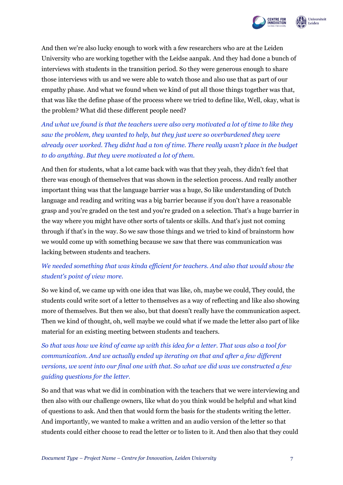



And then we're also lucky enough to work with a few researchers who are at the Leiden University who are working together with the Leidse aanpak. And they had done a bunch of interviews with students in the transition period. So they were generous enough to share those interviews with us and we were able to watch those and also use that as part of our empathy phase. And what we found when we kind of put all those things together was that, that was like the define phase of the process where we tried to define like, Well, okay, what is the problem? What did these different people need?

*And what we found is that the teachers were also very motivated a lot of time to like they saw the problem, they wanted to help, but they just were so overburdened they were already over worked. They didnt had a ton of time. There really wasn't place in the budget to do anything. But they were motivated a lot of them.* 

And then for students, what a lot came back with was that they yeah, they didn't feel that there was enough of themselves that was shown in the selection process. And really another important thing was that the language barrier was a huge, So like understanding of Dutch language and reading and writing was a big barrier because if you don't have a reasonable grasp and you're graded on the test and you're graded on a selection. That's a huge barrier in the way where you might have other sorts of talents or skills. And that's just not coming through if that's in the way. So we saw those things and we tried to kind of brainstorm how we would come up with something because we saw that there was communication was lacking between students and teachers.

# *We needed something that was kinda efficient for teachers. And also that would show the student's point of view more.*

So we kind of, we came up with one idea that was like, oh, maybe we could, They could, the students could write sort of a letter to themselves as a way of reflecting and like also showing more of themselves. But then we also, but that doesn't really have the communication aspect. Then we kind of thought, oh, well maybe we could what if we made the letter also part of like material for an existing meeting between students and teachers.

*So that was how we kind of came up with this idea for a letter. That was also a tool for communication. And we actually ended up iterating on that and after a few different versions, we went into our final one with that. So what we did was we constructed a few guiding questions for the letter.* 

So and that was what we did in combination with the teachers that we were interviewing and then also with our challenge owners, like what do you think would be helpful and what kind of questions to ask. And then that would form the basis for the students writing the letter. And importantly, we wanted to make a written and an audio version of the letter so that students could either choose to read the letter or to listen to it. And then also that they could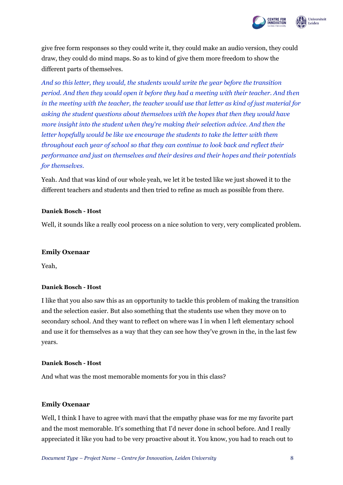

give free form responses so they could write it, they could make an audio version, they could draw, they could do mind maps. So as to kind of give them more freedom to show the different parts of themselves.

*And so this letter, they would, the students would write the year before the transition period. And then they would open it before they had a meeting with their teacher. And then in the meeting with the teacher, the teacher would use that letter as kind of just material for asking the student questions about themselves with the hopes that then they would have more insight into the student when they're making their selection advice. And then the letter hopefully would be like we encourage the students to take the letter with them throughout each year of school so that they can continue to look back and reflect their performance and just on themselves and their desires and their hopes and their potentials for themselves.*

Yeah. And that was kind of our whole yeah, we let it be tested like we just showed it to the different teachers and students and then tried to refine as much as possible from there.

#### **Daniek Bosch - Host**

Well, it sounds like a really cool process on a nice solution to very, very complicated problem.

#### **Emily Oxenaar**

Yeah,

#### **Daniek Bosch - Host**

I like that you also saw this as an opportunity to tackle this problem of making the transition and the selection easier. But also something that the students use when they move on to secondary school. And they want to reflect on where was I in when I left elementary school and use it for themselves as a way that they can see how they've grown in the, in the last few years.

#### **Daniek Bosch - Host**

And what was the most memorable moments for you in this class?

#### **Emily Oxenaar**

Well, I think I have to agree with mavi that the empathy phase was for me my favorite part and the most memorable. It's something that I'd never done in school before. And I really appreciated it like you had to be very proactive about it. You know, you had to reach out to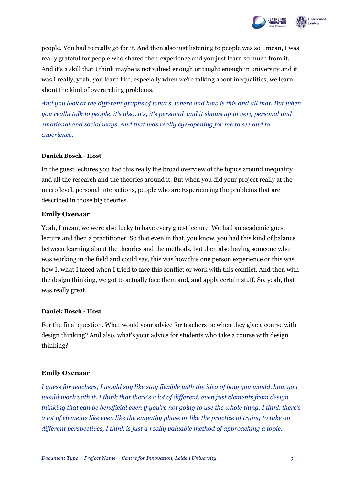

people. You had to really go for it. And then also just listening to people was so I mean, I was really grateful for people who shared their experience and you just learn so much from it. And it's a skill that I think maybe is not valued enough or taught enough in university and it was I really, yeah, you learn like, especially when we're talking about inequalities, we learn about the kind of overarching problems.

*And you look at the different graphs of what's, where and how is this and all that. But when you really talk to people, it's also, it's, it's personal and it shows up in very personal and emotional and social ways. And that was really eye-opening for me to see and to experience.* 

### **Daniek Bosch - Host**

In the guest lectures you had this really the broad overview of the topics around inequality and all the research and the theories around it. But when you did your project really at the micro level, personal interactions, people who are Experiencing the problems that are described in those big theories.

### **Emily Oxenaar**

Yeah, I mean, we were also lucky to have every guest lecture. We had an academic guest lecture and then a practitioner. So that even in that, you know, you had this kind of balance between learning about the theories and the methods, but then also having someone who was working in the field and could say, this was how this one person experience or this was how I, what I faced when I tried to face this conflict or work with this conflict. And then with the design thinking, we got to actually face them and, and apply certain stuff. So, yeah, that was really great.

#### **Daniek Bosch - Host**

For the final question. What would your advice for teachers be when they give a course with design thinking? And also, what's your advice for students who take a course with design thinking?

### **Emily Oxenaar**

*I guess for teachers, I would say like stay flexible with the idea of how you would, how you would work with it. I think that there's a lot of different, even just elements from design thinking that can be beneficial even if you're not going to use the whole thing. I think there's a lot of elements like even like the empathy phase or like the practice of trying to take on different perspectives, I think is just a really valuable method of approaching a topic.*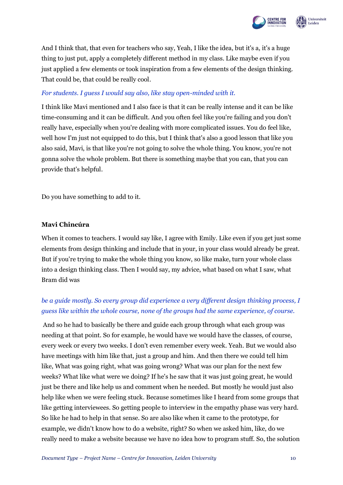



And I think that, that even for teachers who say, Yeah, I like the idea, but it's a, it's a huge thing to just put, apply a completely different method in my class. Like maybe even if you just applied a few elements or took inspiration from a few elements of the design thinking. That could be, that could be really cool.

# *For students. I guess I would say also, like stay open-minded with it.*

I think like Mavi mentioned and I also face is that it can be really intense and it can be like time-consuming and it can be difficult. And you often feel like you're failing and you don't really have, especially when you're dealing with more complicated issues. You do feel like, well how I'm just not equipped to do this, but I think that's also a good lesson that like you also said, Mavi, is that like you're not going to solve the whole thing. You know, you're not gonna solve the whole problem. But there is something maybe that you can, that you can provide that's helpful.

Do you have something to add to it.

## **Mavi Chincúra**

When it comes to teachers. I would say like, I agree with Emily. Like even if you get just some elements from design thinking and include that in your, in your class would already be great. But if you're trying to make the whole thing you know, so like make, turn your whole class into a design thinking class. Then I would say, my advice, what based on what I saw, what Bram did was

# *be a guide mostly. So every group did experience a very different design thinking process, I guess like within the whole course, none of the groups had the same experience, of course.*

And so he had to basically be there and guide each group through what each group was needing at that point. So for example, he would have we would have the classes, of course, every week or every two weeks. I don't even remember every week. Yeah. But we would also have meetings with him like that, just a group and him. And then there we could tell him like, What was going right, what was going wrong? What was our plan for the next few weeks? What like what were we doing? If he's he saw that it was just going great, he would just be there and like help us and comment when he needed. But mostly he would just also help like when we were feeling stuck. Because sometimes like I heard from some groups that like getting interviewees. So getting people to interview in the empathy phase was very hard. So like he had to help in that sense. So are also like when it came to the prototype, for example, we didn't know how to do a website, right? So when we asked him, like, do we really need to make a website because we have no idea how to program stuff. So, the solution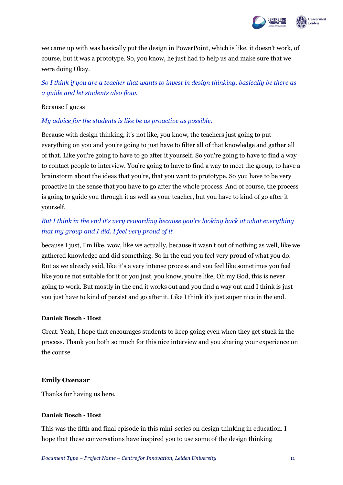

we came up with was basically put the design in PowerPoint, which is like, it doesn't work, of course, but it was a prototype. So, you know, he just had to help us and make sure that we were doing Okay.

*So I think if you are a teacher that wants to invest in design thinking, basically be there as a guide and let students also flow.* 

#### Because I guess

## *My advice for the students is like be as proactive as possible.*

Because with design thinking, it's not like, you know, the teachers just going to put everything on you and you're going to just have to filter all of that knowledge and gather all of that. Like you're going to have to go after it yourself. So you're going to have to find a way to contact people to interview. You're going to have to find a way to meet the group, to have a brainstorm about the ideas that you're, that you want to prototype. So you have to be very proactive in the sense that you have to go after the whole process. And of course, the process is going to guide you through it as well as your teacher, but you have to kind of go after it yourself.

# *But I think in the end it's very rewarding because you're looking back at what everything that my group and I did. I feel very proud of it*

because I just, I'm like, wow, like we actually, because it wasn't out of nothing as well, like we gathered knowledge and did something. So in the end you feel very proud of what you do. But as we already said, like it's a very intense process and you feel like sometimes you feel like you're not suitable for it or you just, you know, you're like, Oh my God, this is never going to work. But mostly in the end it works out and you find a way out and I think is just you just have to kind of persist and go after it. Like I think it's just super nice in the end.

#### **Daniek Bosch - Host**

Great. Yeah, I hope that encourages students to keep going even when they get stuck in the process. Thank you both so much for this nice interview and you sharing your experience on the course

### **Emily Oxenaar**

Thanks for having us here.

### **Daniek Bosch - Host**

This was the fifth and final episode in this mini-series on design thinking in education. I hope that these conversations have inspired you to use some of the design thinking